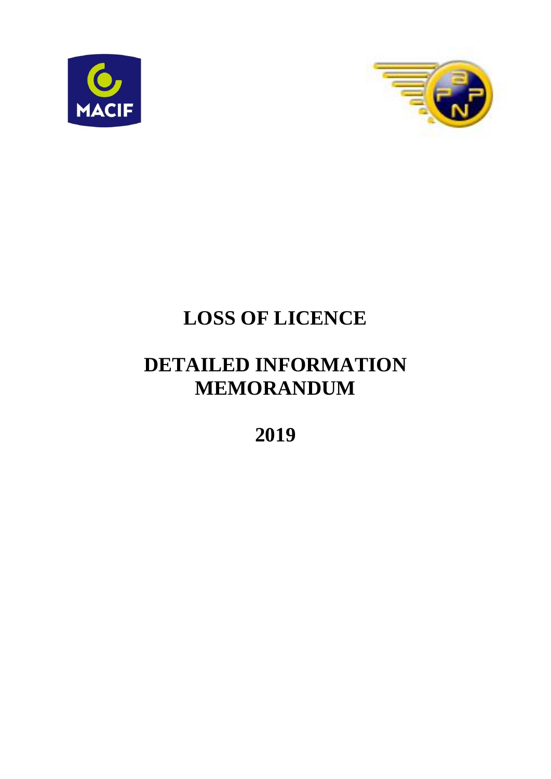



# **LOSS OF LICENCE**

# **DETAILED INFORMATION MEMORANDUM**

**2019**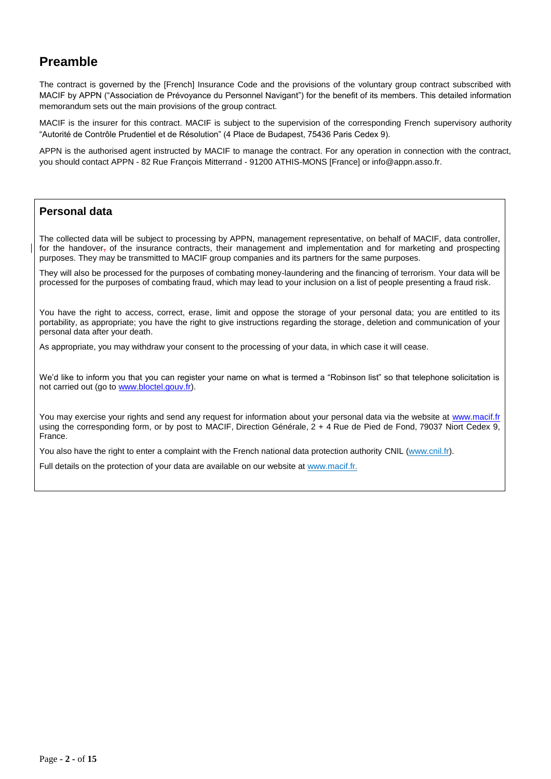### **Preamble**

The contract is governed by the [French] Insurance Code and the provisions of the voluntary group contract subscribed with MACIF by APPN ("Association de Prévoyance du Personnel Navigant") for the benefit of its members. This detailed information memorandum sets out the main provisions of the group contract.

MACIF is the insurer for this contract. MACIF is subject to the supervision of the corresponding French supervisory authority "Autorité de Contrôle Prudentiel et de Résolution" (4 Place de Budapest, 75436 Paris Cedex 9).

APPN is the authorised agent instructed by MACIF to manage the contract. For any operation in connection with the contract, you should contact APPN - 82 Rue François Mitterrand - 91200 ATHIS-MONS [France] or info@appn.asso.fr.

#### **Personal data**

The collected data will be subject to processing by APPN, management representative, on behalf of MACIF, data controller, for the handover, of the insurance contracts, their management and implementation and for marketing and prospecting purposes. They may be transmitted to MACIF group companies and its partners for the same purposes.

They will also be processed for the purposes of combating money-laundering and the financing of terrorism. Your data will be processed for the purposes of combating fraud, which may lead to your inclusion on a list of people presenting a fraud risk.

You have the right to access, correct, erase, limit and oppose the storage of your personal data; you are entitled to its portability, as appropriate; you have the right to give instructions regarding the storage, deletion and communication of your personal data after your death.

As appropriate, you may withdraw your consent to the processing of your data, in which case it will cease.

We'd like to inform you that you can register your name on what is termed a "Robinson list" so that telephone solicitation is not carried out (go to [www.bloctel.gouv.fr\)](http://www.bloctel.gouv.fr/).

You may exercise your rights and send any request for information about your personal data via the website at [www.macif.fr](http://www.macif.fr/) using the corresponding form, or by post to MACIF, Direction Générale,  $2 + 4$  Rue de Pied de Fond, 79037 Niort Cedex 9, France.

You also have the right to enter a complaint with the French national data protection authority CNIL [\(www.cnil.fr\)](http://www.cnil.fr/).

Full details on the protection of your data are available on our website at www.macif.fr.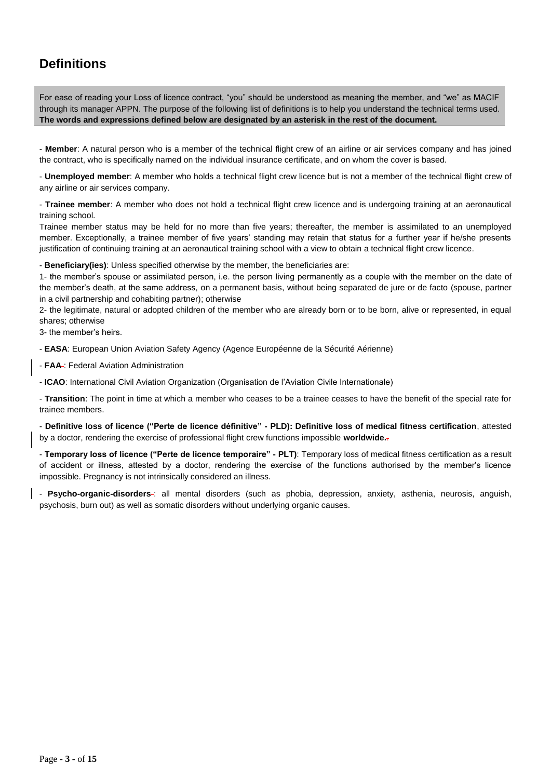# **Definitions**

For ease of reading your Loss of licence contract, "you" should be understood as meaning the member, and "we" as MACIF through its manager APPN. The purpose of the following list of definitions is to help you understand the technical terms used. **The words and expressions defined below are designated by an asterisk in the rest of the document.**

- **Member**: A natural person who is a member of the technical flight crew of an airline or air services company and has joined the contract, who is specifically named on the individual insurance certificate, and on whom the cover is based.

- **Unemployed member**: A member who holds a technical flight crew licence but is not a member of the technical flight crew of any airline or air services company.

- **Trainee member**: A member who does not hold a technical flight crew licence and is undergoing training at an aeronautical training school.

Trainee member status may be held for no more than five years; thereafter, the member is assimilated to an unemployed member. Exceptionally, a trainee member of five years' standing may retain that status for a further year if he/she presents justification of continuing training at an aeronautical training school with a view to obtain a technical flight crew licence.

- **Beneficiary(ies)**: Unless specified otherwise by the member, the beneficiaries are:

1- the member's spouse or assimilated person, i.e. the person living permanently as a couple with the member on the date of the member's death, at the same address, on a permanent basis, without being separated de jure or de facto (spouse, partner in a civil partnership and cohabiting partner); otherwise

2- the legitimate, natural or adopted children of the member who are already born or to be born, alive or represented, in equal shares; otherwise

3- the member's heirs.

- **EASA**: European Union Aviation Safety Agency (Agence Européenne de la Sécurité Aérienne)

- **FAA** : Federal Aviation Administration

- **ICAO**: International Civil Aviation Organization (Organisation de l'Aviation Civile Internationale)

- **Transition**: The point in time at which a member who ceases to be a trainee ceases to have the benefit of the special rate for trainee members.

- **Definitive loss of licence ("Perte de licence définitive" - PLD): Definitive loss of medical fitness certification**, attested by a doctor, rendering the exercise of professional flight crew functions impossible **worldwide.**.

- **Temporary loss of licence ("Perte de licence temporaire" - PLT)**: Temporary loss of medical fitness certification as a result of accident or illness, attested by a doctor, rendering the exercise of the functions authorised by the member's licence impossible. Pregnancy is not intrinsically considered an illness.

- **Psycho-organic-disorders** : all mental disorders (such as phobia, depression, anxiety, asthenia, neurosis, anguish, psychosis, burn out) as well as somatic disorders without underlying organic causes.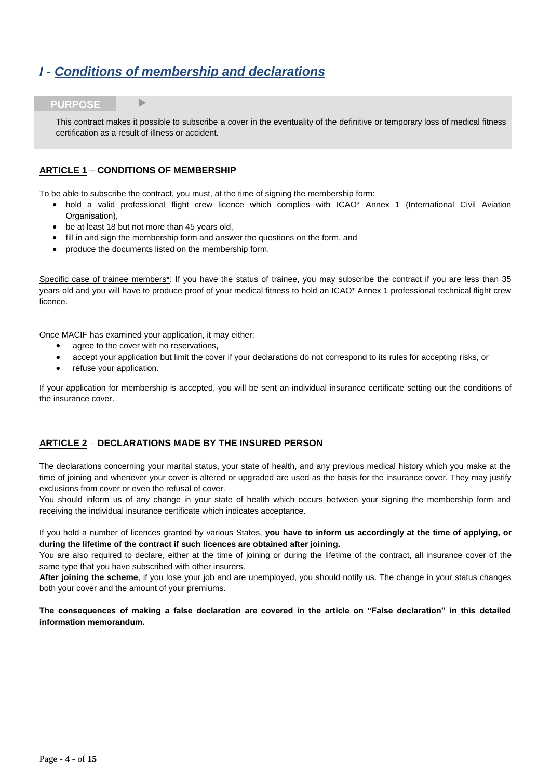# *I - Conditions of membership and declarations*

#### **PURPOSE**

This contract makes it possible to subscribe a cover in the eventuality of the definitive or temporary loss of medical fitness certification as a result of illness or accident.

#### **ARTICLE 1** – **CONDITIONS OF MEMBERSHIP**

To be able to subscribe the contract, you must, at the time of signing the membership form:

- hold a valid professional flight crew licence which complies with ICAO\* Annex 1 (International Civil Aviation Organisation),
- be at least 18 but not more than 45 years old,
- fill in and sign the membership form and answer the questions on the form, and
- produce the documents listed on the membership form.

Specific case of trainee members\*: If you have the status of trainee, you may subscribe the contract if you are less than 35 years old and you will have to produce proof of your medical fitness to hold an ICAO\* Annex 1 professional technical flight crew licence.

Once MACIF has examined your application, it may either:

- agree to the cover with no reservations,
- accept your application but limit the cover if your declarations do not correspond to its rules for accepting risks, or
- refuse your application.

If your application for membership is accepted, you will be sent an individual insurance certificate setting out the conditions of the insurance cover.

#### **ARTICLE 2** – **DECLARATIONS MADE BY THE INSURED PERSON**

The declarations concerning your marital status, your state of health, and any previous medical history which you make at the time of joining and whenever your cover is altered or upgraded are used as the basis for the insurance cover. They may justify exclusions from cover or even the refusal of cover.

You should inform us of any change in your state of health which occurs between your signing the membership form and receiving the individual insurance certificate which indicates acceptance.

If you hold a number of licences granted by various States, **you have to inform us accordingly at the time of applying, or during the lifetime of the contract if such licences are obtained after joining.**

You are also required to declare, either at the time of joining or during the lifetime of the contract, all insurance cover of the same type that you have subscribed with other insurers.

**After joining the scheme**, if you lose your job and are unemployed, you should notify us. The change in your status changes both your cover and the amount of your premiums.

**The consequences of making a false declaration are covered in the article on "False declaration" in this detailed information memorandum.**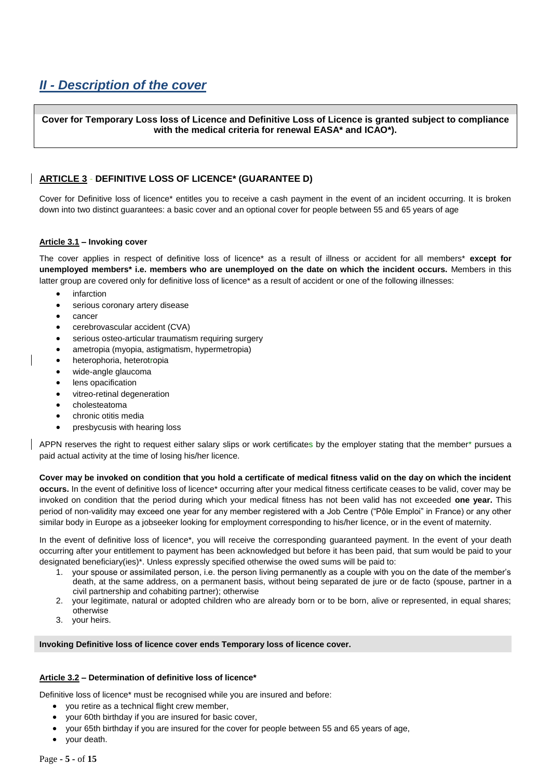# *II - Description of the cover*

**Cover for Temporary Loss loss of Licence and Definitive Loss of Licence is granted subject to compliance with the medical criteria for renewal EASA\* and ICAO\*).**

#### **ARTICLE 3** - **DEFINITIVE LOSS OF LICENCE\* (GUARANTEE D)**

Cover for Definitive loss of licence\* entitles you to receive a cash payment in the event of an incident occurring. It is broken down into two distinct guarantees: a basic cover and an optional cover for people between 55 and 65 years of age

#### **Article 3.1 – Invoking cover**

The cover applies in respect of definitive loss of licence\* as a result of illness or accident for all members\* **except for unemployed members\* i.e. members who are unemployed on the date on which the incident occurs.** Members in this latter group are covered only for definitive loss of licence\* as a result of accident or one of the following illnesses:

- infarction
- serious coronary artery disease
- cancer
- cerebrovascular accident (CVA)
- serious osteo-articular traumatism requiring surgery
- ametropia (myopia, astigmatism, hypermetropia)
- heterophoria, heterotropia
- wide-angle glaucoma
- lens opacification
- vitreo-retinal degeneration
- cholesteatoma
- chronic otitis media
- presbycusis with hearing loss

APPN reserves the right to request either salary slips or work certificates by the employer stating that the member\* pursues a paid actual activity at the time of losing his/her licence.

**Cover may be invoked on condition that you hold a certificate of medical fitness valid on the day on which the incident occurs.** In the event of definitive loss of licence\* occurring after your medical fitness certificate ceases to be valid, cover may be invoked on condition that the period during which your medical fitness has not been valid has not exceeded **one year.** This period of non-validity may exceed one year for any member registered with a Job Centre ("Pôle Emploi" in France) or any other similar body in Europe as a jobseeker looking for employment corresponding to his/her licence, or in the event of maternity.

In the event of definitive loss of licence\*, you will receive the corresponding guaranteed payment. In the event of your death occurring after your entitlement to payment has been acknowledged but before it has been paid, that sum would be paid to your designated beneficiary(ies)\*. Unless expressly specified otherwise the owed sums will be paid to:

- 1. your spouse or assimilated person, i.e. the person living permanently as a couple with you on the date of the member's death, at the same address, on a permanent basis, without being separated de jure or de facto (spouse, partner in a civil partnership and cohabiting partner); otherwise
- 2. your legitimate, natural or adopted children who are already born or to be born, alive or represented, in equal shares; otherwise
- 3. your heirs.

#### **Invoking Definitive loss of licence cover ends Temporary loss of licence cover.**

#### **Article 3.2 – Determination of definitive loss of licence\***

Definitive loss of licence\* must be recognised while you are insured and before:

- you retire as a technical flight crew member,
- your 60th birthday if you are insured for basic cover,
- your 65th birthday if you are insured for the cover for people between 55 and 65 years of age,
- your death.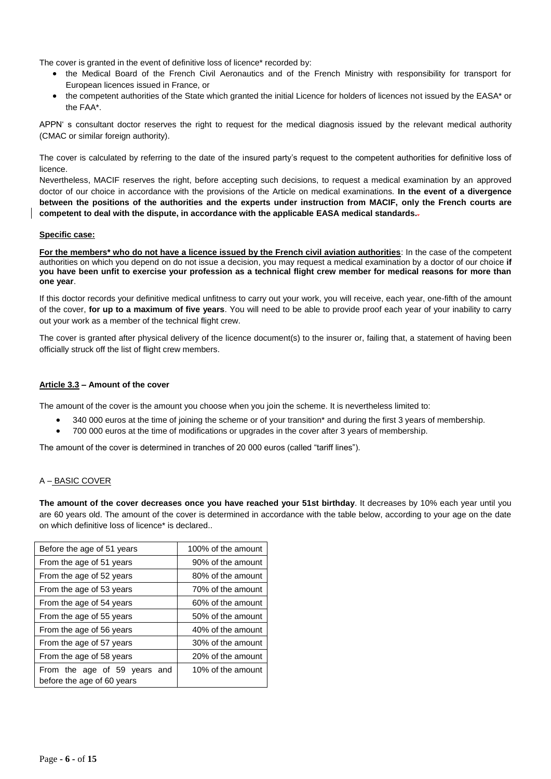The cover is granted in the event of definitive loss of licence\* recorded by:

- the Medical Board of the French Civil Aeronautics and of the French Ministry with responsibility for transport for European licences issued in France, or
- the competent authorities of the State which granted the initial Licence for holders of licences not issued by the EASA\* or the FAA\*.

APPN' s consultant doctor reserves the right to request for the medical diagnosis issued by the relevant medical authority (CMAC or similar foreign authority).

The cover is calculated by referring to the date of the insured party's request to the competent authorities for definitive loss of licence.

Nevertheless, MACIF reserves the right, before accepting such decisions, to request a medical examination by an approved doctor of our choice in accordance with the provisions of the Article on medical examinations. **In the event of a divergence between the positions of the authorities and the experts under instruction from MACIF, only the French courts are competent to deal with the dispute, in accordance with the applicable EASA medical standards.**.

#### **Specific case:**

**For the members\* who do not have a licence issued by the French civil aviation authorities**: In the case of the competent authorities on which you depend on do not issue a decision, you may request a medical examination by a doctor of our choice **if you have been unfit to exercise your profession as a technical flight crew member for medical reasons for more than one year**.

If this doctor records your definitive medical unfitness to carry out your work, you will receive, each year, one-fifth of the amount of the cover, **for up to a maximum of five years**. You will need to be able to provide proof each year of your inability to carry out your work as a member of the technical flight crew.

The cover is granted after physical delivery of the licence document(s) to the insurer or, failing that, a statement of having been officially struck off the list of flight crew members.

#### **Article 3.3 – Amount of the cover**

The amount of the cover is the amount you choose when you join the scheme. It is nevertheless limited to:

- 340 000 euros at the time of joining the scheme or of your transition\* and during the first 3 years of membership.
- 700 000 euros at the time of modifications or upgrades in the cover after 3 years of membership.

The amount of the cover is determined in tranches of 20 000 euros (called "tariff lines").

#### A – BASIC COVER

**The amount of the cover decreases once you have reached your 51st birthday**. It decreases by 10% each year until you are 60 years old. The amount of the cover is determined in accordance with the table below, according to your age on the date on which definitive loss of licence\* is declared..

| Before the age of 51 years                                 | 100% of the amount |
|------------------------------------------------------------|--------------------|
| From the age of 51 years                                   | 90% of the amount  |
| From the age of 52 years                                   | 80% of the amount  |
| From the age of 53 years                                   | 70% of the amount  |
| From the age of 54 years                                   | 60% of the amount  |
| From the age of 55 years                                   | 50% of the amount  |
| From the age of 56 years                                   | 40% of the amount  |
| From the age of 57 years                                   | 30% of the amount  |
| From the age of 58 years                                   | 20% of the amount  |
| From the age of 59 years and<br>before the age of 60 years | 10% of the amount  |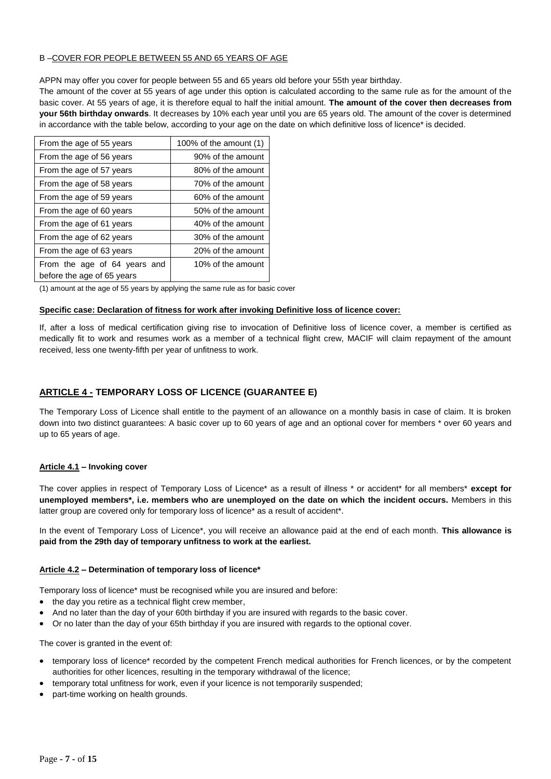#### B –COVER FOR PEOPLE BETWEEN 55 AND 65 YEARS OF AGE

APPN may offer you cover for people between 55 and 65 years old before your 55th year birthday.

The amount of the cover at 55 years of age under this option is calculated according to the same rule as for the amount of the basic cover. At 55 years of age, it is therefore equal to half the initial amount. **The amount of the cover then decreases from your 56th birthday onwards**. It decreases by 10% each year until you are 65 years old. The amount of the cover is determined in accordance with the table below, according to your age on the date on which definitive loss of licence\* is decided.

| From the age of 55 years                                   | 100% of the amount $(1)$ |
|------------------------------------------------------------|--------------------------|
| From the age of 56 years                                   | 90% of the amount        |
| From the age of 57 years                                   | 80% of the amount        |
| From the age of 58 years                                   | 70% of the amount        |
| From the age of 59 years                                   | 60% of the amount        |
| From the age of 60 years                                   | 50% of the amount        |
| From the age of 61 years                                   | 40% of the amount        |
| From the age of 62 years                                   | 30% of the amount        |
| From the age of 63 years                                   | 20% of the amount        |
| From the age of 64 years and<br>before the age of 65 years | 10% of the amount        |

(1) amount at the age of 55 years by applying the same rule as for basic cover

#### **Specific case: Declaration of fitness for work after invoking Definitive loss of licence cover:**

If, after a loss of medical certification giving rise to invocation of Definitive loss of licence cover, a member is certified as medically fit to work and resumes work as a member of a technical flight crew, MACIF will claim repayment of the amount received, less one twenty-fifth per year of unfitness to work.

#### **ARTICLE 4 - TEMPORARY LOSS OF LICENCE (GUARANTEE E)**

The Temporary Loss of Licence shall entitle to the payment of an allowance on a monthly basis in case of claim. It is broken down into two distinct guarantees: A basic cover up to 60 years of age and an optional cover for members \* over 60 years and up to 65 years of age.

#### **Article 4.1 – Invoking cover**

The cover applies in respect of Temporary Loss of Licence\* as a result of illness \* or accident\* for all members\* **except for unemployed members\*, i.e. members who are unemployed on the date on which the incident occurs.** Members in this latter group are covered only for temporary loss of licence\* as a result of accident\*.

In the event of Temporary Loss of Licence\*, you will receive an allowance paid at the end of each month. **This allowance is paid from the 29th day of temporary unfitness to work at the earliest.**

#### **Article 4.2 – Determination of temporary loss of licence\***

Temporary loss of licence\* must be recognised while you are insured and before:

- the day you retire as a technical flight crew member,
- And no later than the day of your 60th birthday if you are insured with regards to the basic cover.
- Or no later than the day of your 65th birthday if you are insured with regards to the optional cover.

The cover is granted in the event of:

- temporary loss of licence\* recorded by the competent French medical authorities for French licences, or by the competent authorities for other licences, resulting in the temporary withdrawal of the licence;
- temporary total unfitness for work, even if your licence is not temporarily suspended;
- part-time working on health grounds.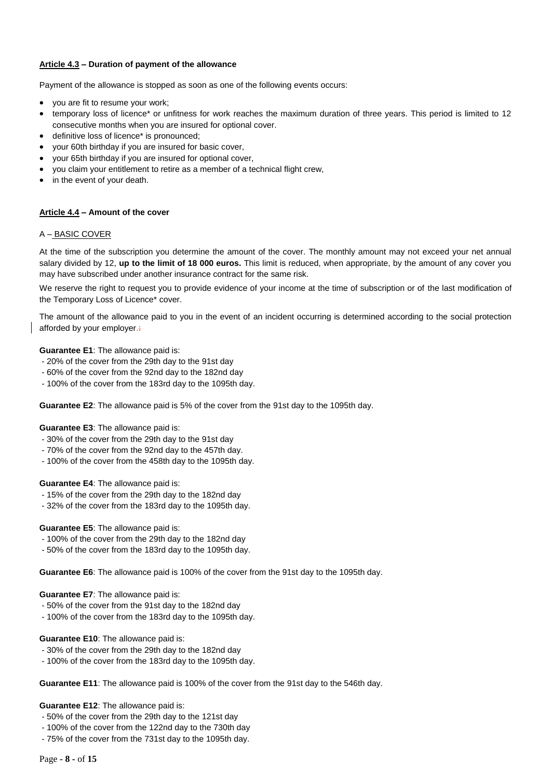#### **Article 4.3 – Duration of payment of the allowance**

Payment of the allowance is stopped as soon as one of the following events occurs:

- you are fit to resume your work;
- temporary loss of licence\* or unfitness for work reaches the maximum duration of three years. This period is limited to 12 consecutive months when you are insured for optional cover.
- definitive loss of licence\* is pronounced;
- your 60th birthday if you are insured for basic cover,
- your 65th birthday if you are insured for optional cover,
- you claim your entitlement to retire as a member of a technical flight crew,
- in the event of your death.

#### **Article 4.4 – Amount of the cover**

#### A – BASIC COVER

At the time of the subscription you determine the amount of the cover. The monthly amount may not exceed your net annual salary divided by 12, **up to the limit of 18 000 euros.** This limit is reduced, when appropriate, by the amount of any cover you may have subscribed under another insurance contract for the same risk.

We reserve the right to request you to provide evidence of your income at the time of subscription or of the last modification of the Temporary Loss of Licence\* cover.

The amount of the allowance paid to you in the event of an incident occurring is determined according to the social protection afforded by your employer.

#### **Guarantee E1**: The allowance paid is:

- 20% of the cover from the 29th day to the 91st day
- 60% of the cover from the 92nd day to the 182nd day
- 100% of the cover from the 183rd day to the 1095th day.

**Guarantee E2**: The allowance paid is 5% of the cover from the 91st day to the 1095th day.

#### **Guarantee E3**: The allowance paid is:

- 30% of the cover from the 29th day to the 91st day
- 70% of the cover from the 92nd day to the 457th day.
- 100% of the cover from the 458th day to the 1095th day.

#### **Guarantee E4**: The allowance paid is:

- 15% of the cover from the 29th day to the 182nd day
- 32% of the cover from the 183rd day to the 1095th day.

#### **Guarantee E5**: The allowance paid is:

- 100% of the cover from the 29th day to the 182nd day
- 50% of the cover from the 183rd day to the 1095th day.

**Guarantee E6**: The allowance paid is 100% of the cover from the 91st day to the 1095th day.

#### **Guarantee E7**: The allowance paid is:

- 50% of the cover from the 91st day to the 182nd day
- 100% of the cover from the 183rd day to the 1095th day.

#### **Guarantee E10**: The allowance paid is:

- 30% of the cover from the 29th day to the 182nd day
- 100% of the cover from the 183rd day to the 1095th day.

**Guarantee E11**: The allowance paid is 100% of the cover from the 91st day to the 546th day.

#### **Guarantee E12**: The allowance paid is:

- 50% of the cover from the 29th day to the 121st day
- 100% of the cover from the 122nd day to the 730th day
- 75% of the cover from the 731st day to the 1095th day.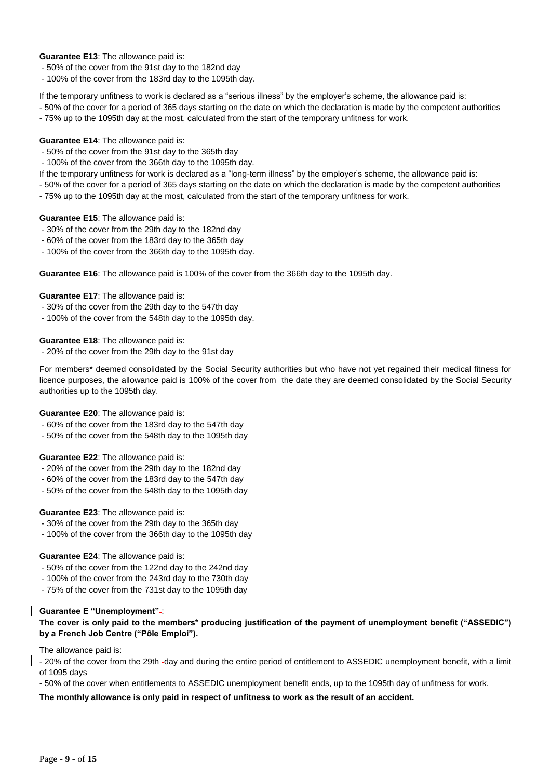#### **Guarantee E13**: The allowance paid is:

- 50% of the cover from the 91st day to the 182nd day

- 100% of the cover from the 183rd day to the 1095th day.

If the temporary unfitness to work is declared as a "serious illness" by the employer's scheme, the allowance paid is:

- 50% of the cover for a period of 365 days starting on the date on which the declaration is made by the competent authorities - 75% up to the 1095th day at the most, calculated from the start of the temporary unfitness for work.

#### **Guarantee E14**: The allowance paid is:

- 50% of the cover from the 91st day to the 365th day
- 100% of the cover from the 366th day to the 1095th day.
- If the temporary unfitness for work is declared as a "long-term illness" by the employer's scheme, the allowance paid is:
- 50% of the cover for a period of 365 days starting on the date on which the declaration is made by the competent authorities - 75% up to the 1095th day at the most, calculated from the start of the temporary unfitness for work.

#### **Guarantee E15**: The allowance paid is:

- 30% of the cover from the 29th day to the 182nd day
- 60% of the cover from the 183rd day to the 365th day
- 100% of the cover from the 366th day to the 1095th day.

**Guarantee E16**: The allowance paid is 100% of the cover from the 366th day to the 1095th day.

#### **Guarantee E17**: The allowance paid is:

- 30% of the cover from the 29th day to the 547th day
- 100% of the cover from the 548th day to the 1095th day.

**Guarantee E18**: The allowance paid is:

- 20% of the cover from the 29th day to the 91st day

For members\* deemed consolidated by the Social Security authorities but who have not yet regained their medical fitness for licence purposes, the allowance paid is 100% of the cover from the date they are deemed consolidated by the Social Security authorities up to the 1095th day.

#### **Guarantee E20**: The allowance paid is:

- 60% of the cover from the 183rd day to the 547th day
- 50% of the cover from the 548th day to the 1095th day

#### **Guarantee E22**: The allowance paid is:

- 20% of the cover from the 29th day to the 182nd day
- 60% of the cover from the 183rd day to the 547th day
- 50% of the cover from the 548th day to the 1095th day

#### **Guarantee E23**: The allowance paid is:

- 30% of the cover from the 29th day to the 365th day
- 100% of the cover from the 366th day to the 1095th day

#### **Guarantee E24**: The allowance paid is:

- 50% of the cover from the 122nd day to the 242nd day
- 100% of the cover from the 243rd day to the 730th day
- 75% of the cover from the 731st day to the 1095th day

#### **Guarantee E "Unemployment"** :

**The cover is only paid to the members\* producing justification of the payment of unemployment benefit ("ASSEDIC") by a French Job Centre ("Pôle Emploi").** 

The allowance paid is:

- 20% of the cover from the 29th day and during the entire period of entitlement to ASSEDIC unemployment benefit, with a limit of 1095 days

- 50% of the cover when entitlements to ASSEDIC unemployment benefit ends, up to the 1095th day of unfitness for work.

**The monthly allowance is only paid in respect of unfitness to work as the result of an accident.**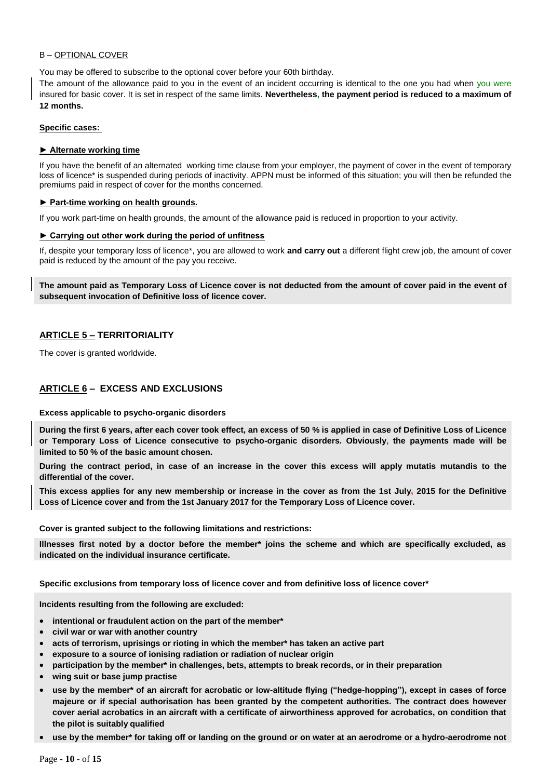#### B – OPTIONAL COVER

You may be offered to subscribe to the optional cover before your 60th birthday.

The amount of the allowance paid to you in the event of an incident occurring is identical to the one you had when you were insured for basic cover. It is set in respect of the same limits. **Nevertheless, the payment period is reduced to a maximum of 12 months.**

#### **Specific cases:**

#### **► Alternate working time**

If you have the benefit of an alternated working time clause from your employer, the payment of cover in the event of temporary loss of licence\* is suspended during periods of inactivity. APPN must be informed of this situation; you will then be refunded the premiums paid in respect of cover for the months concerned.

#### **► Part-time working on health grounds.**

If you work part-time on health grounds, the amount of the allowance paid is reduced in proportion to your activity.

#### **► Carrying out other work during the period of unfitness**

If, despite your temporary loss of licence\*, you are allowed to work **and carry out** a different flight crew job, the amount of cover paid is reduced by the amount of the pay you receive.

**The amount paid as Temporary Loss of Licence cover is not deducted from the amount of cover paid in the event of subsequent invocation of Definitive loss of licence cover.**

#### **ARTICLE 5 – TERRITORIALITY**

The cover is granted worldwide.

#### **ARTICLE 6 – EXCESS AND EXCLUSIONS**

#### **Excess applicable to psycho-organic disorders**

**During the first 6 years, after each cover took effect, an excess of 50 % is applied in case of Definitive Loss of Licence or Temporary Loss of Licence consecutive to psycho-organic disorders. Obviously, the payments made will be limited to 50 % of the basic amount chosen.**

**During the contract period, in case of an increase in the cover this excess will apply mutatis mutandis to the differential of the cover.**

**This excess applies for any new membership or increase in the cover as from the 1st July, 2015 for the Definitive Loss of Licence cover and from the 1st January 2017 for the Temporary Loss of Licence cover.**

#### **Cover is granted subject to the following limitations and restrictions:**

**Illnesses first noted by a doctor before the member\* joins the scheme and which are specifically excluded, as indicated on the individual insurance certificate.**

**Specific exclusions from temporary loss of licence cover and from definitive loss of licence cover\***

**Incidents resulting from the following are excluded:**

- **intentional or fraudulent action on the part of the member\***
- **civil war or war with another country**
- **acts of terrorism, uprisings or rioting in which the member\* has taken an active part**
- **exposure to a source of ionising radiation or radiation of nuclear origin**
- **participation by the member\* in challenges, bets, attempts to break records, or in their preparation**
- **wing suit or base jump practise**
- **use by the member\* of an aircraft for acrobatic or low-altitude flying ("hedge-hopping"), except in cases of force majeure or if special authorisation has been granted by the competent authorities. The contract does however cover aerial acrobatics in an aircraft with a certificate of airworthiness approved for acrobatics, on condition that the pilot is suitably qualified**
- **use by the member\* for taking off or landing on the ground or on water at an aerodrome or a hydro-aerodrome not**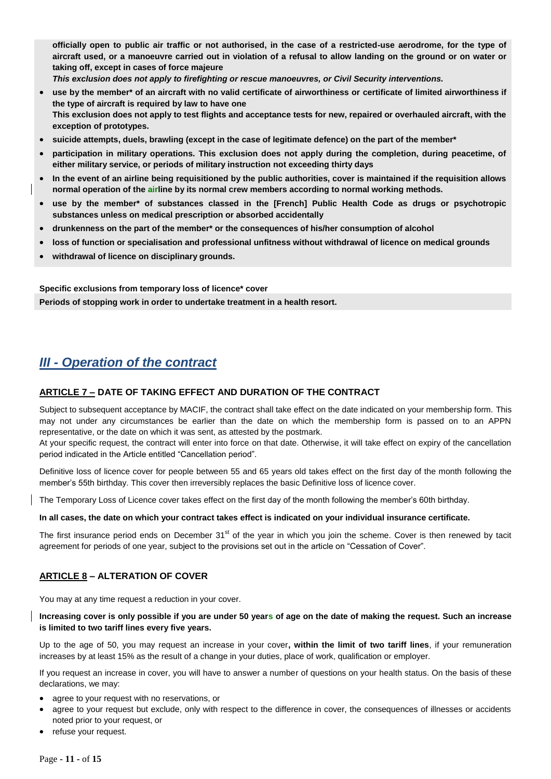**officially open to public air traffic or not authorised, in the case of a restricted-use aerodrome, for the type of aircraft used, or a manoeuvre carried out in violation of a refusal to allow landing on the ground or on water or taking off, except in cases of force majeure**

*This exclusion does not apply to firefighting or rescue manoeuvres, or Civil Security interventions.*

- **use by the member\* of an aircraft with no valid certificate of airworthiness or certificate of limited airworthiness if the type of aircraft is required by law to have one This exclusion does not apply to test flights and acceptance tests for new, repaired or overhauled aircraft, with the exception of prototypes.**
- **suicide attempts, duels, brawling (except in the case of legitimate defence) on the part of the member\***
- **participation in military operations. This exclusion does not apply during the completion, during peacetime, of either military service, or periods of military instruction not exceeding thirty days**
- **In the event of an airline being requisitioned by the public authorities, cover is maintained if the requisition allows normal operation of the airline by its normal crew members according to normal working methods.**
- **use by the member\* of substances classed in the [French] Public Health Code as drugs or psychotropic substances unless on medical prescription or absorbed accidentally**
- **drunkenness on the part of the member\* or the consequences of his/her consumption of alcohol**
- **loss of function or specialisation and professional unfitness without withdrawal of licence on medical grounds**
- **withdrawal of licence on disciplinary grounds.**

**Specific exclusions from temporary loss of licence\* cover**

**Periods of stopping work in order to undertake treatment in a health resort.**

### *III - Operation of the contract*

#### **ARTICLE 7 – DATE OF TAKING EFFECT AND DURATION OF THE CONTRACT**

Subject to subsequent acceptance by MACIF, the contract shall take effect on the date indicated on your membership form. This may not under any circumstances be earlier than the date on which the membership form is passed on to an APPN representative, or the date on which it was sent, as attested by the postmark.

At your specific request, the contract will enter into force on that date. Otherwise, it will take effect on expiry of the cancellation period indicated in the Article entitled "Cancellation period".

Definitive loss of licence cover for people between 55 and 65 years old takes effect on the first day of the month following the member's 55th birthday. This cover then irreversibly replaces the basic Definitive loss of licence cover.

The Temporary Loss of Licence cover takes effect on the first day of the month following the member's 60th birthday.

#### **In all cases, the date on which your contract takes effect is indicated on your individual insurance certificate.**

The first insurance period ends on December 31<sup>st</sup> of the year in which you join the scheme. Cover is then renewed by tacit agreement for periods of one year, subject to the provisions set out in the article on "Cessation of Cover".

#### **ARTICLE 8 – ALTERATION OF COVER**

You may at any time request a reduction in your cover.

#### **Increasing cover is only possible if you are under 50 years of age on the date of making the request. Such an increase is limited to two tariff lines every five years.**

Up to the age of 50, you may request an increase in your cover**, within the limit of two tariff lines**, if your remuneration increases by at least 15% as the result of a change in your duties, place of work, qualification or employer.

If you request an increase in cover, you will have to answer a number of questions on your health status. On the basis of these declarations, we may:

- agree to your request with no reservations, or
- agree to your request but exclude, only with respect to the difference in cover, the consequences of illnesses or accidents noted prior to your request, or
- refuse your request.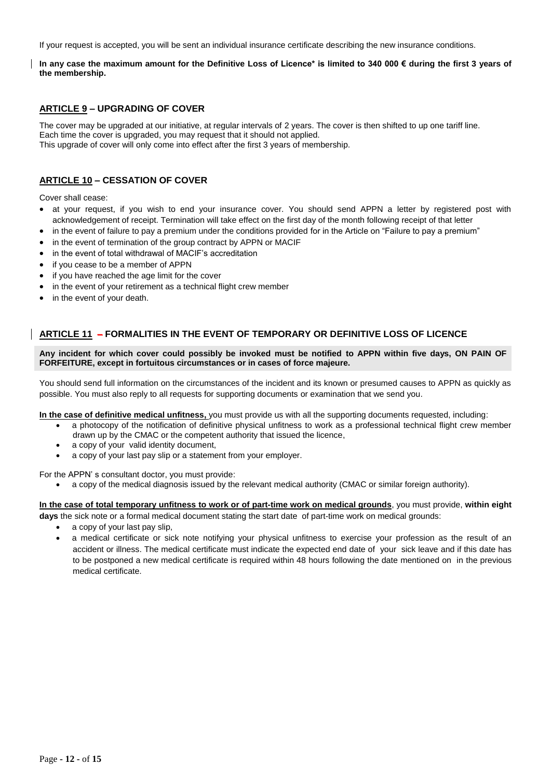If your request is accepted, you will be sent an individual insurance certificate describing the new insurance conditions.

**In any case the maximum amount for the Definitive Loss of Licence\* is limited to 340 000 € during the first 3 years of the membership.**

#### **ARTICLE 9 – UPGRADING OF COVER**

The cover may be upgraded at our initiative, at regular intervals of 2 years. The cover is then shifted to up one tariff line. Each time the cover is upgraded, you may request that it should not applied. This upgrade of cover will only come into effect after the first 3 years of membership.

#### **ARTICLE 10 – CESSATION OF COVER**

Cover shall cease:

- at your request, if you wish to end your insurance cover. You should send APPN a letter by registered post with acknowledgement of receipt. Termination will take effect on the first day of the month following receipt of that letter
- in the event of failure to pay a premium under the conditions provided for in the Article on "Failure to pay a premium"
- in the event of termination of the group contract by APPN or MACIF
- in the event of total withdrawal of MACIF's accreditation
- if you cease to be a member of APPN
- if you have reached the age limit for the cover
- in the event of your retirement as a technical flight crew member
- in the event of your death.

#### **ARTICLE 11 – FORMALITIES IN THE EVENT OF TEMPORARY OR DEFINITIVE LOSS OF LICENCE**

**Any incident for which cover could possibly be invoked must be notified to APPN within five days, ON PAIN OF FORFEITURE, except in fortuitous circumstances or in cases of force majeure.**

You should send full information on the circumstances of the incident and its known or presumed causes to APPN as quickly as possible. You must also reply to all requests for supporting documents or examination that we send you.

**In the case of definitive medical unfitness,** you must provide us with all the supporting documents requested, including:

- a photocopy of the notification of definitive physical unfitness to work as a professional technical flight crew member drawn up by the CMAC or the competent authority that issued the licence,
- a copy of your valid identity document,
- a copy of your last pay slip or a statement from your employer.

For the APPN' s consultant doctor, you must provide:

a copy of the medical diagnosis issued by the relevant medical authority (CMAC or similar foreign authority).

### **In the case of total temporary unfitness to work or of part-time work on medical grounds**, you must provide, **within eight**

- **days** the sick note or a formal medical document stating the start date of part-time work on medical grounds:
	- a copy of your last pay slip,
	- a medical certificate or sick note notifying your physical unfitness to exercise your profession as the result of an accident or illness. The medical certificate must indicate the expected end date of your sick leave and if this date has to be postponed a new medical certificate is required within 48 hours following the date mentioned on in the previous medical certificate.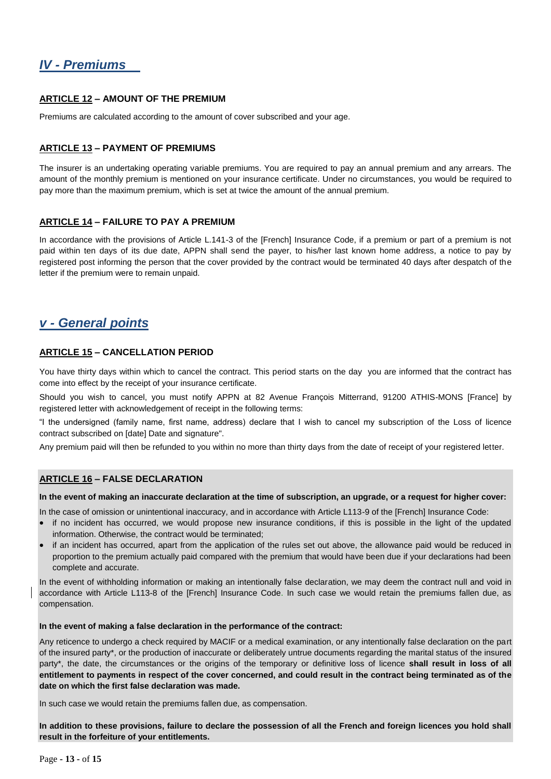## *IV - Premiums*

#### **ARTICLE 12 – AMOUNT OF THE PREMIUM**

Premiums are calculated according to the amount of cover subscribed and your age.

#### **ARTICLE 13 – PAYMENT OF PREMIUMS**

The insurer is an undertaking operating variable premiums. You are required to pay an annual premium and any arrears. The amount of the monthly premium is mentioned on your insurance certificate. Under no circumstances, you would be required to pay more than the maximum premium, which is set at twice the amount of the annual premium.

#### **ARTICLE 14 – FAILURE TO PAY A PREMIUM**

In accordance with the provisions of Article L.141-3 of the [French] Insurance Code, if a premium or part of a premium is not paid within ten days of its due date, APPN shall send the payer, to his/her last known home address, a notice to pay by registered post informing the person that the cover provided by the contract would be terminated 40 days after despatch of the letter if the premium were to remain unpaid.

### *v - General points*

#### **ARTICLE 15 – CANCELLATION PERIOD**

You have thirty days within which to cancel the contract. This period starts on the day you are informed that the contract has come into effect by the receipt of your insurance certificate.

Should you wish to cancel, you must notify APPN at 82 Avenue François Mitterrand, 91200 ATHIS-MONS [France] by registered letter with acknowledgement of receipt in the following terms:

"I the undersigned (family name, first name, address) declare that I wish to cancel my subscription of the Loss of licence contract subscribed on [date] Date and signature".

Any premium paid will then be refunded to you within no more than thirty days from the date of receipt of your registered letter.

#### **ARTICLE 16 – FALSE DECLARATION**

#### **In the event of making an inaccurate declaration at the time of subscription, an upgrade, or a request for higher cover:**

In the case of omission or unintentional inaccuracy, and in accordance with Article L113-9 of the [French] Insurance Code:

- if no incident has occurred, we would propose new insurance conditions, if this is possible in the light of the updated information. Otherwise, the contract would be terminated;
- if an incident has occurred, apart from the application of the rules set out above, the allowance paid would be reduced in proportion to the premium actually paid compared with the premium that would have been due if your declarations had been complete and accurate.

In the event of withholding information or making an intentionally false declaration, we may deem the contract null and void in accordance with Article L113-8 of the [French] Insurance Code. In such case we would retain the premiums fallen due, as compensation.

#### **In the event of making a false declaration in the performance of the contract:**

Any reticence to undergo a check required by MACIF or a medical examination, or any intentionally false declaration on the part of the insured party\*, or the production of inaccurate or deliberately untrue documents regarding the marital status of the insured party\*, the date, the circumstances or the origins of the temporary or definitive loss of licence **shall result in loss of all entitlement to payments in respect of the cover concerned, and could result in the contract being terminated as of the date on which the first false declaration was made.**

In such case we would retain the premiums fallen due, as compensation.

**In addition to these provisions, failure to declare the possession of all the French and foreign licences you hold shall result in the forfeiture of your entitlements.**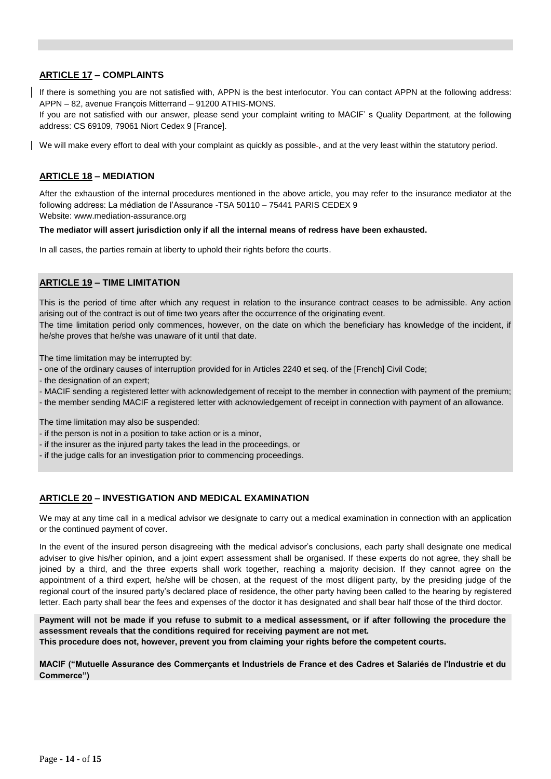#### **ARTICLE 17 – COMPLAINTS**

If there is something you are not satisfied with, APPN is the best interlocutor. You can contact APPN at the following address: APPN – 82, avenue François Mitterrand – 91200 ATHIS-MONS.

If you are not satisfied with our answer, please send your complaint writing to MACIF' s Quality Department, at the following address: CS 69109, 79061 Niort Cedex 9 [France].

We will make every effort to deal with your complaint as quickly as possible-, and at the very least within the statutory period.

#### **ARTICLE 18 – MEDIATION**

After the exhaustion of the internal procedures mentioned in the above article, you may refer to the insurance mediator at the following address: La médiation de l'Assurance -TSA 50110 – 75441 PARIS CEDEX 9 Website: www.mediation-assurance.org

#### **The mediator will assert jurisdiction only if all the internal means of redress have been exhausted.**

In all cases, the parties remain at liberty to uphold their rights before the courts.

#### **ARTICLE 19 – TIME LIMITATION**

This is the period of time after which any request in relation to the insurance contract ceases to be admissible. Any action arising out of the contract is out of time two years after the occurrence of the originating event.

The time limitation period only commences, however, on the date on which the beneficiary has knowledge of the incident, if he/she proves that he/she was unaware of it until that date.

The time limitation may be interrupted by:

- one of the ordinary causes of interruption provided for in Articles 2240 et seq. of the [French] Civil Code;
- the designation of an expert;
- MACIF sending a registered letter with acknowledgement of receipt to the member in connection with payment of the premium;
- the member sending MACIF a registered letter with acknowledgement of receipt in connection with payment of an allowance.

The time limitation may also be suspended:

- if the person is not in a position to take action or is a minor,
- if the insurer as the injured party takes the lead in the proceedings, or
- if the judge calls for an investigation prior to commencing proceedings.

#### **ARTICLE 20 – INVESTIGATION AND MEDICAL EXAMINATION**

We may at any time call in a medical advisor we designate to carry out a medical examination in connection with an application or the continued payment of cover.

In the event of the insured person disagreeing with the medical advisor's conclusions, each party shall designate one medical adviser to give his/her opinion, and a joint expert assessment shall be organised. If these experts do not agree, they shall be joined by a third, and the three experts shall work together, reaching a majority decision. If they cannot agree on the appointment of a third expert, he/she will be chosen, at the request of the most diligent party, by the presiding judge of the regional court of the insured party's declared place of residence, the other party having been called to the hearing by registered letter. Each party shall bear the fees and expenses of the doctor it has designated and shall bear half those of the third doctor.

**Payment will not be made if you refuse to submit to a medical assessment, or if after following the procedure the assessment reveals that the conditions required for receiving payment are not met.**

**This procedure does not, however, prevent you from claiming your rights before the competent courts.**

**MACIF ("Mutuelle Assurance des Commerçants et Industriels de France et des Cadres et Salariés de l'Industrie et du Commerce")**